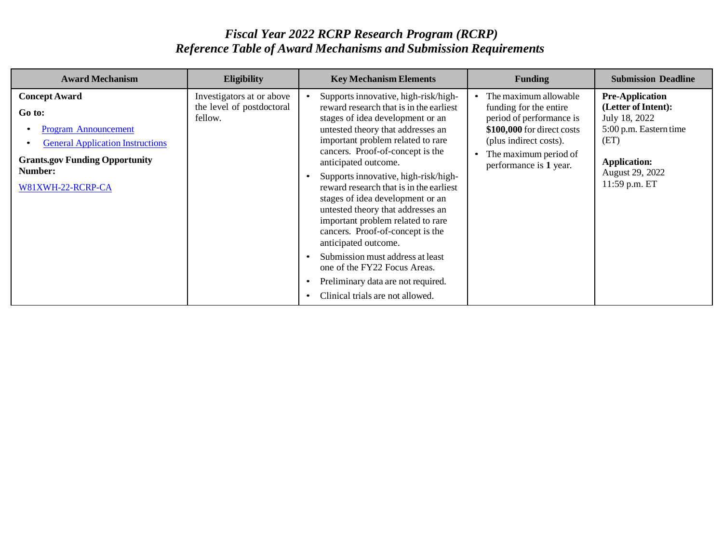## *Fiscal Year 2022 RCRP Research Program (RCRP) Reference Table of Award Mechanisms and Submission Requirements*

| <b>Award Mechanism</b>                                                                                                                                                                         | <b>Eligibility</b>                                                | <b>Key Mechanism Elements</b>                                                                                                                                                                                                                                                                                                                                                                                                                                                                                                                                                                                                                                        | <b>Funding</b>                                                                                                                                                                         | <b>Submission Deadline</b>                                                                                                                                  |
|------------------------------------------------------------------------------------------------------------------------------------------------------------------------------------------------|-------------------------------------------------------------------|----------------------------------------------------------------------------------------------------------------------------------------------------------------------------------------------------------------------------------------------------------------------------------------------------------------------------------------------------------------------------------------------------------------------------------------------------------------------------------------------------------------------------------------------------------------------------------------------------------------------------------------------------------------------|----------------------------------------------------------------------------------------------------------------------------------------------------------------------------------------|-------------------------------------------------------------------------------------------------------------------------------------------------------------|
| <b>Concept Award</b><br>Go to:<br><b>Program Announcement</b><br>$\bullet$<br><b>General Application Instructions</b><br><b>Grants.gov Funding Opportunity</b><br>Number:<br>W81XWH-22-RCRP-CA | Investigators at or above<br>the level of postdoctoral<br>fellow. | Supports innovative, high-risk/high-<br>reward research that is in the earliest<br>stages of idea development or an<br>untested theory that addresses an<br>important problem related to rare<br>cancers. Proof-of-concept is the<br>anticipated outcome.<br>Supports innovative, high-risk/high-<br>reward research that is in the earliest<br>stages of idea development or an<br>untested theory that addresses an<br>important problem related to rare<br>cancers. Proof-of-concept is the<br>anticipated outcome.<br>Submission must address at least<br>one of the FY22 Focus Areas.<br>Preliminary data are not required.<br>Clinical trials are not allowed. | The maximum allowable<br>funding for the entire<br>period of performance is<br>\$100,000 for direct costs<br>(plus indirect costs).<br>The maximum period of<br>performance is 1 year. | <b>Pre-Application</b><br>(Letter of Intent):<br>July 18, 2022<br>5:00 p.m. Eastern time<br>(ET)<br><b>Application:</b><br>August 29, 2022<br>11:59 p.m. ET |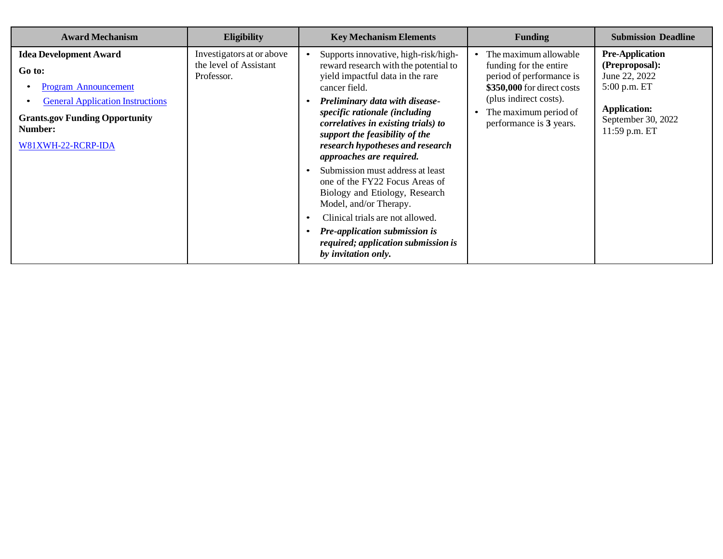| <b>Award Mechanism</b>                                                                                                                                                                      | <b>Eligibility</b>                                                | <b>Key Mechanism Elements</b>                                                                                                                                                                                                                                                                                                                                                                                                                                                                                                                                                                                                           | <b>Funding</b>                                                                                                                                                                          | <b>Submission Deadline</b>                                                                                                              |
|---------------------------------------------------------------------------------------------------------------------------------------------------------------------------------------------|-------------------------------------------------------------------|-----------------------------------------------------------------------------------------------------------------------------------------------------------------------------------------------------------------------------------------------------------------------------------------------------------------------------------------------------------------------------------------------------------------------------------------------------------------------------------------------------------------------------------------------------------------------------------------------------------------------------------------|-----------------------------------------------------------------------------------------------------------------------------------------------------------------------------------------|-----------------------------------------------------------------------------------------------------------------------------------------|
| <b>Idea Development Award</b><br>Go to:<br><b>Program Announcement</b><br><b>General Application Instructions</b><br><b>Grants.gov Funding Opportunity</b><br>Number:<br>W81XWH-22-RCRP-IDA | Investigators at or above<br>the level of Assistant<br>Professor. | Supports innovative, high-risk/high-<br>reward research with the potential to<br>yield impactful data in the rare<br>cancer field.<br>Preliminary data with disease-<br>specific rationale (including<br>correlatives in existing trials) to<br>support the feasibility of the<br>research hypotheses and research<br>approaches are required.<br>Submission must address at least<br>one of the FY22 Focus Areas of<br>Biology and Etiology, Research<br>Model, and/or Therapy.<br>Clinical trials are not allowed.<br>$\bullet$<br><b>Pre-application submission is</b><br>required; application submission is<br>by invitation only. | The maximum allowable<br>funding for the entire<br>period of performance is<br>\$350,000 for direct costs<br>(plus indirect costs).<br>The maximum period of<br>performance is 3 years. | <b>Pre-Application</b><br>(Preproposal):<br>June 22, 2022<br>5:00 p.m. ET<br><b>Application:</b><br>September 30, 2022<br>11:59 p.m. ET |